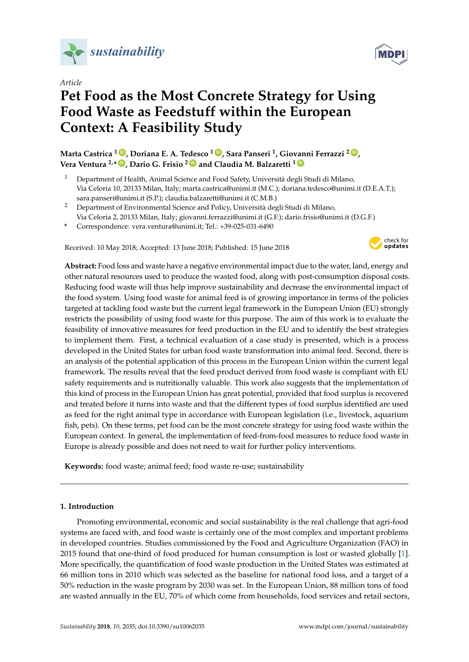

*Article*

# **Pet Food as the Most Concrete Strategy for Using Food Waste as Feedstuff within the European Context: A Feasibility Study**

**Marta Castrica <sup>1</sup> [ID](https://orcid.org/0000-0002-3771-757X) , Doriana E. A. Tedesco <sup>1</sup> [ID](https://orcid.org/0000-0002-0941-2883) , Sara Panseri <sup>1</sup> , Giovanni Ferrazzi <sup>2</sup> [ID](https://orcid.org/0000-0002-5422-0821) , Vera Ventura 2,\* [ID](https://orcid.org/0000-0001-7508-9319) , Dario G. Frisio <sup>2</sup> [ID](https://orcid.org/0000-0002-9856-3463) and Claudia M. Balzaretti <sup>1</sup> [ID](https://orcid.org/0000-0002-0309-3260)**

- <sup>1</sup> Department of Health, Animal Science and Food Safety, Università degli Studi di Milano, Via Celoria 10, 20133 Milan, Italy; marta.castrica@unimi.it (M.C.); doriana.tedesco@unimi.it (D.E.A.T.); sara.panseri@unimi.it (S.P.); claudia.balzaretti@unimi.it (C.M.B.)
- <sup>2</sup> Department of Environmental Science and Policy, Università degli Studi di Milano, Via Celoria 2, 20133 Milan, Italy; giovanni.ferrazzi@unimi.it (G.F.); dario.frisio@unimi.it (D.G.F.)
- **\*** Correspondence: vera.ventura@unimi.it; Tel.: +39-025-031-6490

Received: 10 May 2018; Accepted: 13 June 2018; Published: 15 June 2018



**Abstract:** Food loss and waste have a negative environmental impact due to the water, land, energy and other natural resources used to produce the wasted food, along with post-consumption disposal costs. Reducing food waste will thus help improve sustainability and decrease the environmental impact of the food system. Using food waste for animal feed is of growing importance in terms of the policies targeted at tackling food waste but the current legal framework in the European Union (EU) strongly restricts the possibility of using food waste for this purpose. The aim of this work is to evaluate the feasibility of innovative measures for feed production in the EU and to identify the best strategies to implement them. First, a technical evaluation of a case study is presented, which is a process developed in the United States for urban food waste transformation into animal feed. Second, there is an analysis of the potential application of this process in the European Union within the current legal framework. The results reveal that the feed product derived from food waste is compliant with EU safety requirements and is nutritionally valuable. This work also suggests that the implementation of this kind of process in the European Union has great potential, provided that food surplus is recovered and treated before it turns into waste and that the different types of food surplus identified are used as feed for the right animal type in accordance with European legislation (i.e., livestock, aquarium fish, pets). On these terms, pet food can be the most concrete strategy for using food waste within the European context. In general, the implementation of feed-from-food measures to reduce food waste in Europe is already possible and does not need to wait for further policy interventions.

**Keywords:** food waste; animal feed; food waste re-use; sustainability

#### **1. Introduction**

Promoting environmental, economic and social sustainability is the real challenge that agri-food systems are faced with, and food waste is certainly one of the most complex and important problems in developed countries. Studies commissioned by the Food and Agriculture Organization (FAO) in 2015 found that one-third of food produced for human consumption is lost or wasted globally [\[1\]](#page-8-0). More specifically, the quantification of food waste production in the United States was estimated at 66 million tons in 2010 which was selected as the baseline for national food loss, and a target of a 50% reduction in the waste program by 2030 was set. In the European Union, 88 million tons of food are wasted annually in the EU, 70% of which come from households, food services and retail sectors,

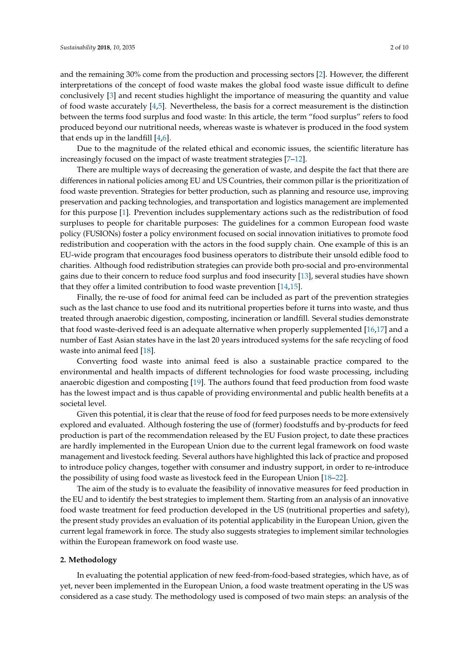and the remaining 30% come from the production and processing sectors [\[2\]](#page-8-1). However, the different interpretations of the concept of food waste makes the global food waste issue difficult to define conclusively [\[3\]](#page-8-2) and recent studies highlight the importance of measuring the quantity and value of food waste accurately [\[4](#page-8-3)[,5\]](#page-8-4). Nevertheless, the basis for a correct measurement is the distinction between the terms food surplus and food waste: In this article, the term "food surplus" refers to food produced beyond our nutritional needs, whereas waste is whatever is produced in the food system that ends up in the landfill  $[4,6]$  $[4,6]$ .

Due to the magnitude of the related ethical and economic issues, the scientific literature has increasingly focused on the impact of waste treatment strategies [\[7](#page-8-6)[–12\]](#page-8-7).

There are multiple ways of decreasing the generation of waste, and despite the fact that there are differences in national policies among EU and US Countries, their common pillar is the prioritization of food waste prevention. Strategies for better production, such as planning and resource use, improving preservation and packing technologies, and transportation and logistics management are implemented for this purpose [\[1\]](#page-8-0). Prevention includes supplementary actions such as the redistribution of food surpluses to people for charitable purposes: The guidelines for a common European food waste policy (FUSIONs) foster a policy environment focused on social innovation initiatives to promote food redistribution and cooperation with the actors in the food supply chain. One example of this is an EU-wide program that encourages food business operators to distribute their unsold edible food to charities. Although food redistribution strategies can provide both pro-social and pro-environmental gains due to their concern to reduce food surplus and food insecurity [\[13\]](#page-8-8), several studies have shown that they offer a limited contribution to food waste prevention [\[14](#page-8-9)[,15\]](#page-9-0).

Finally, the re-use of food for animal feed can be included as part of the prevention strategies such as the last chance to use food and its nutritional properties before it turns into waste, and thus treated through anaerobic digestion, composting, incineration or landfill. Several studies demonstrate that food waste-derived feed is an adequate alternative when properly supplemented [\[16,](#page-9-1)[17\]](#page-9-2) and a number of East Asian states have in the last 20 years introduced systems for the safe recycling of food waste into animal feed [\[18\]](#page-9-3).

Converting food waste into animal feed is also a sustainable practice compared to the environmental and health impacts of different technologies for food waste processing, including anaerobic digestion and composting [\[19\]](#page-9-4). The authors found that feed production from food waste has the lowest impact and is thus capable of providing environmental and public health benefits at a societal level.

Given this potential, it is clear that the reuse of food for feed purposes needs to be more extensively explored and evaluated. Although fostering the use of (former) foodstuffs and by-products for feed production is part of the recommendation released by the EU Fusion project, to date these practices are hardly implemented in the European Union due to the current legal framework on food waste management and livestock feeding. Several authors have highlighted this lack of practice and proposed to introduce policy changes, together with consumer and industry support, in order to re-introduce the possibility of using food waste as livestock feed in the European Union [\[18](#page-9-3)[–22\]](#page-9-5).

The aim of the study is to evaluate the feasibility of innovative measures for feed production in the EU and to identify the best strategies to implement them. Starting from an analysis of an innovative food waste treatment for feed production developed in the US (nutritional properties and safety), the present study provides an evaluation of its potential applicability in the European Union, given the current legal framework in force. The study also suggests strategies to implement similar technologies within the European framework on food waste use.

#### **2. Methodology**

In evaluating the potential application of new feed-from-food-based strategies, which have, as of yet, never been implemented in the European Union, a food waste treatment operating in the US was considered as a case study. The methodology used is composed of two main steps: an analysis of the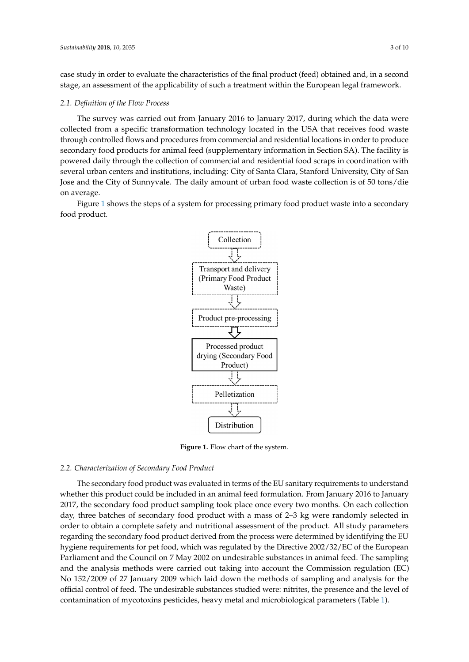case study in order to evaluate the characteristics of the final product (feed) obtained and, in a second stage, an assessment of the applicability of such a treatment within the European legal framework. framework.

## *2.1. Definition of the Flow Process 2.1. Definition of the Flow Process*

The survey was carried out from January 2016 to January 2017, during which the data were collected from a specific transformation technology located in the USA that receives food waste collected from a specific transformation technology located in the USA that receives food waste through controlled flows and procedures from commercial and residential locations in order to produce through controlled flows and procedures from commercial and residential locations in order to secondary food products for animal feed (supplementary information in Section SA). The facility is powered daily through the collection of commercial and residential food scraps in coordination with  $\tilde{a}$ several urban centers and institutions, including: City of Santa Clara, Stanford University, City of San<br>-Jose and the City of Sunnyvale. The daily amount of urban food waste collection is of 50 tons/die on average. is of 50 tons/die on average.

<span id="page-2-0"></span>Figure [1](#page-2-0) shows the steps of a system for processing primary food product waste into a secondary Figure 1 shows the steps of a system for processing primary food product waste into a secondary food product. food product.



**Figure 1.** Flow chart of the system. **Figure 1.** Flow chart of the system.

## *2.2. Characterization of Secondary Food Product 2.2. Characterization of Secondary Food Product*

microbiological parameters (Table 1).

The secondary food product was evaluated in terms of the EU sanitary requirements to The secondary food product was evaluated in terms of the EU sanitary requirements to understand whether this product could be included in an animal feed formulation. From January 2016 to January 2017, the secondary food product sampling took place once every two months. On each collection day, three batches of secondary food product with a mass of 2–3 kg were randomly selected in order to obtain a complete safety and nutritional assessment of the product. All study parameters regarding the secondary food product derived from the process were determined by identifying the EU hygiene requirements for pet food, which was regulated by the Directive 2002/32/EC of the European Parliament and the Council on 7 May 2002 on undesirable substances in animal feed. The sampling and the analysis methods were carried out taking into account the Commission regulation (EC) No 152/2009 of 27 January 2009 which laid down the methods of sampling and analysis for the official control of feed. The undesirable substances studied were: nitrites, the presence and the level of contamination of mycotoxins pesticides, heavy metal and microbiological parameters (Table [1\)](#page-3-0).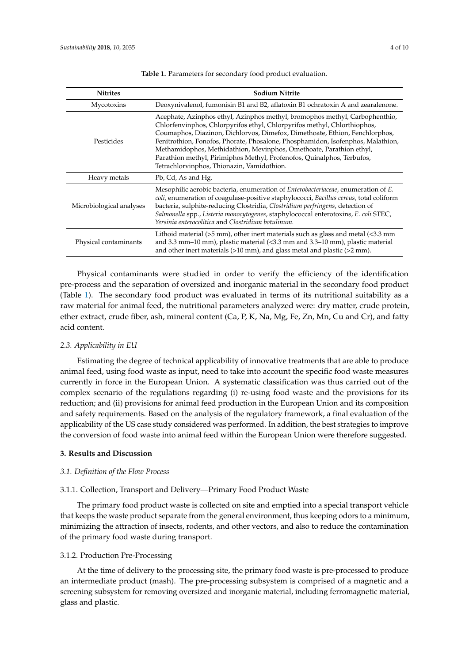<span id="page-3-0"></span>

| <b>Nitrites</b>          | <b>Sodium Nitrite</b>                                                                                                                                                                                                                                                                                                                                                                                                                                                                                                    |  |  |
|--------------------------|--------------------------------------------------------------------------------------------------------------------------------------------------------------------------------------------------------------------------------------------------------------------------------------------------------------------------------------------------------------------------------------------------------------------------------------------------------------------------------------------------------------------------|--|--|
| Mycotoxins               | Deoxynivalenol, fumonisin B1 and B2, aflatoxin B1 ochratoxin A and zearalenone.                                                                                                                                                                                                                                                                                                                                                                                                                                          |  |  |
| Pesticides               | Acephate, Azinphos ethyl, Azinphos methyl, bromophos methyl, Carbophenthio,<br>Chlorfenvinphos, Chlorpyrifos ethyl, Chlorpyrifos methyl, Chlorthiophos,<br>Coumaphos, Diazinon, Dichlorvos, Dimefox, Dimethoate, Ethion, Fenchlorphos,<br>Fenitrothion, Fonofos, Phorate, Phosalone, Phosphamidon, Isofenphos, Malathion,<br>Methamidophos, Methidathion, Mevinphos, Omethoate, Parathion ethyl,<br>Parathion methyl, Pirimiphos Methyl, Profenofos, Quinalphos, Terbufos,<br>Tetrachlorvinphos, Thionazin, Vamidothion. |  |  |
| Heavy metals             | Pb, Cd, As and Hg.                                                                                                                                                                                                                                                                                                                                                                                                                                                                                                       |  |  |
| Microbiological analyses | Mesophilic aerobic bacteria, enumeration of <i>Enterobacteriaceae</i> , enumeration of <i>E</i> .<br>coli, enumeration of coagulase-positive staphylococci, Bacillus cereus, total coliform<br>bacteria, sulphite-reducing Clostridia, Clostridium perfringens, detection of<br>Salmonella spp., Listeria monocytogenes, staphylococcal enterotoxins, E. coli STEC,<br>Yersinia enterocolitica and Clostridium botulinum.                                                                                                |  |  |
| Physical contaminants    | Lithoid material ( $>5$ mm), other inert materials such as glass and metal ( $<3.3$ mm<br>and 3.3 mm-10 mm), plastic material (<3.3 mm and 3.3-10 mm), plastic material<br>and other inert materials $(>10 \text{ mm})$ , and glass metal and plastic $(>2 \text{ mm})$ .                                                                                                                                                                                                                                                |  |  |

**Table 1.** Parameters for secondary food product evaluation.

Physical contaminants were studied in order to verify the efficiency of the identification pre-process and the separation of oversized and inorganic material in the secondary food product (Table [1\)](#page-3-0). The secondary food product was evaluated in terms of its nutritional suitability as a raw material for animal feed, the nutritional parameters analyzed were: dry matter, crude protein, ether extract, crude fiber, ash, mineral content (Ca, P, K, Na, Mg, Fe, Zn, Mn, Cu and Cr), and fatty acid content.

#### *2.3. Applicability in EU*

Estimating the degree of technical applicability of innovative treatments that are able to produce animal feed, using food waste as input, need to take into account the specific food waste measures currently in force in the European Union. A systematic classification was thus carried out of the complex scenario of the regulations regarding (i) re-using food waste and the provisions for its reduction; and (ii) provisions for animal feed production in the European Union and its composition and safety requirements. Based on the analysis of the regulatory framework, a final evaluation of the applicability of the US case study considered was performed. In addition, the best strategies to improve the conversion of food waste into animal feed within the European Union were therefore suggested.

### **3. Results and Discussion**

#### *3.1. Definition of the Flow Process*

#### 3.1.1. Collection, Transport and Delivery—Primary Food Product Waste

The primary food product waste is collected on site and emptied into a special transport vehicle that keeps the waste product separate from the general environment, thus keeping odors to a minimum, minimizing the attraction of insects, rodents, and other vectors, and also to reduce the contamination of the primary food waste during transport.

#### 3.1.2. Production Pre-Processing

At the time of delivery to the processing site, the primary food waste is pre-processed to produce an intermediate product (mash). The pre-processing subsystem is comprised of a magnetic and a screening subsystem for removing oversized and inorganic material, including ferromagnetic material, glass and plastic.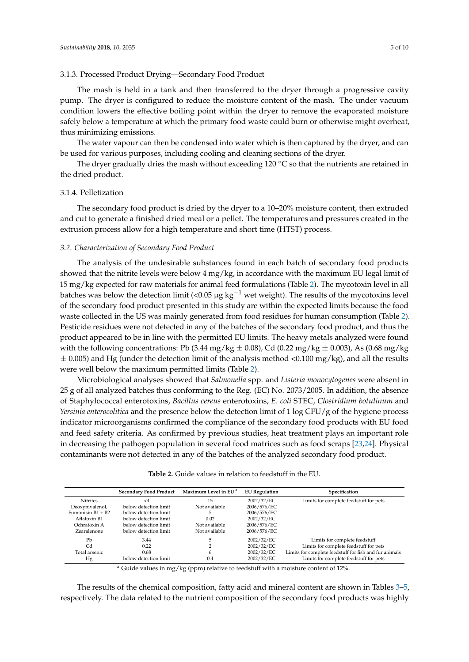#### 3.1.3. Processed Product Drying—Secondary Food Product

The mash is held in a tank and then transferred to the dryer through a progressive cavity pump. The dryer is configured to reduce the moisture content of the mash. The under vacuum condition lowers the effective boiling point within the dryer to remove the evaporated moisture safely below a temperature at which the primary food waste could burn or otherwise might overheat, thus minimizing emissions.

The water vapour can then be condensed into water which is then captured by the dryer, and can be used for various purposes, including cooling and cleaning sections of the dryer.

The dryer gradually dries the mash without exceeding 120  $\degree$ C so that the nutrients are retained in the dried product.

#### 3.1.4. Pelletization

The secondary food product is dried by the dryer to a 10–20% moisture content, then extruded and cut to generate a finished dried meal or a pellet. The temperatures and pressures created in the extrusion process allow for a high temperature and short time (HTST) process.

#### *3.2. Characterization of Secondary Food Product*

The analysis of the undesirable substances found in each batch of secondary food products showed that the nitrite levels were below 4 mg/kg, in accordance with the maximum EU legal limit of 15 mg/kg expected for raw materials for animal feed formulations (Table [2\)](#page-4-0). The mycotoxin level in all batches was below the detection limit (<0.05 µg kg<sup>-1</sup> wet weight). The results of the mycotoxins level of the secondary food product presented in this study are within the expected limits because the food waste collected in the US was mainly generated from food residues for human consumption (Table [2\)](#page-4-0). Pesticide residues were not detected in any of the batches of the secondary food product, and thus the product appeared to be in line with the permitted EU limits. The heavy metals analyzed were found with the following concentrations: Pb (3.44 mg/kg  $\pm$  0.08), Cd (0.22 mg/kg  $\pm$  0.003), As (0.68 mg/kg  $\pm$  0.005) and Hg (under the detection limit of the analysis method <0.100 mg/kg), and all the results were well below the maximum permitted limits (Table [2\)](#page-4-0).

Microbiological analyses showed that *Salmonella* spp. and *Listeria monocytogenes* were absent in 25 g of all analyzed batches thus conforming to the Reg. (EC) No. 2073/2005. In addition, the absence of Staphylococcal enterotoxins, *Bacillus cereus* enterotoxins, *E. coli* STEC, *Clostridium botulinum* and *Yersinia enterocolitica* and the presence below the detection limit of 1 log CFU/g of the hygiene process indicator microorganisms confirmed the compliance of the secondary food products with EU food and feed safety criteria. As confirmed by previous studies, heat treatment plays an important role in decreasing the pathogen population in several food matrices such as food scraps [\[23,](#page-9-6)[24\]](#page-9-7). Physical contaminants were not detected in any of the batches of the analyzed secondary food product.

<span id="page-4-0"></span>

|                   | <b>Secondary Food Product</b> | Maximum Level in EU <sup>a</sup> | <b>EU</b> Regulation | Specification                                          |
|-------------------|-------------------------------|----------------------------------|----------------------|--------------------------------------------------------|
| <b>Nitrites</b>   | $\leq$ 4                      | 15                               | 2002/32/EC           | Limits for complete feedstuff for pets                 |
| Deoxynivalenol,   | below detection limit         | Not available                    | 2006/576/EC          |                                                        |
| Fumonisin B1 + B2 | below detection limit         |                                  | 2006/576/EC          |                                                        |
| Aflatoxin B1      | below detection limit         | 0.02                             | 2002/32/EC           |                                                        |
| Ochratoxin A      | below detection limit         | Not available                    | 2006/576/EC          |                                                        |
| Zearalenone       | below detection limit         | Not available                    | 2006/576/EC          |                                                        |
| P <sub>b</sub>    | 3.44                          |                                  | 2002/32/EC           | Limits for complete feedstuff                          |
| Cd                | 0.22                          |                                  | 2002/32/EC           | Limits for complete feedstuff for pets                 |
| Total arsenic     | 0.68                          | 6                                | 2002/32/EC           | Limits for complete feedstuff for fish and fur animals |
| Hg                | below detection limit         | 0.4                              | 2002/32/EC           | Limits for complete feedstuff for pets                 |

**Table 2.** Guide values in relation to feedstuff in the EU.

<sup>a</sup> Guide values in mg/kg (ppm) relative to feedstuff with a moisture content of 12%.

The results of the chemical composition, fatty acid and mineral content are shown in Tables [3](#page-5-0)[–5,](#page-6-0) respectively. The data related to the nutrient composition of the secondary food products was highly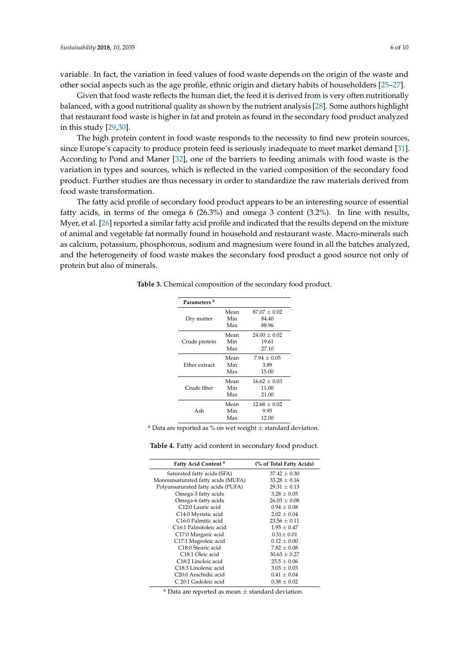variable. In fact, the variation in feed values of food waste depends on the origin of the waste and other social aspects such as the age profile, ethnic origin and dietary habits of householders [\[25–](#page-9-8)[27\]](#page-9-9).

Given that food waste reflects the human diet, the feed it is derived from is very often nutritionally balanced, with a good nutritional quality as shown by the nutrient analysis [\[28\]](#page-9-10). Some authors highlight that restaurant food waste is higher in fat and protein as found in the secondary food product analyzed in this study [\[29](#page-9-11)[,30\]](#page-9-12).

The high protein content in food waste responds to the necessity to find new protein sources, since Europe's capacity to produce protein feed is seriously inadequate to meet market demand [\[31\]](#page-9-13). According to Pond and Maner [\[32\]](#page-9-14), one of the barriers to feeding animals with food waste is the variation in types and sources, which is reflected in the varied composition of the secondary food product. Further studies are thus necessary in order to standardize the raw materials derived from food waste transformation.

The fatty acid profile of secondary food product appears to be an interesting source of essential fatty acids, in terms of the omega 6 (26.3%) and omega 3 content (3.2%). In line with results, Myer, et al. [\[26\]](#page-9-15) reported a similar fatty acid profile and indicated that the results depend on the mixture of animal and vegetable fat normally found in household and restaurant waste. Macro-minerals such as calcium, potassium, phosphorous, sodium and magnesium were found in all the batches analyzed, and the heterogeneity of food waste makes the secondary food product a good source not only of protein but also of minerals.

| Parameters <sup>a</sup> |      |                  |
|-------------------------|------|------------------|
|                         | Mean | $87.07 \pm 0.02$ |
| Dry matter              | Min  | 84.40            |
|                         | Max  | 88.96            |
|                         | Mean | $24.00 \pm 0.02$ |
| Crude protein           | Min  | 19.61            |
|                         | Max  | 27.10            |
|                         | Mean | $7.94 + 0.05$    |
| Ether extract           | Min  | 3.89             |
|                         | Max  | 15.00            |
|                         | Mean | $16.62 \pm 0.03$ |
| Crude fiber             | Min  | 11.00            |
|                         | Max  | 21.00            |
|                         | Mean | $12.68 \pm 0.02$ |
| Ash                     | Min  | 9.95             |
|                         | Max  | 12.00            |

<span id="page-5-0"></span>**Table 3.** Chemical composition of the secondary food product.

<sup>a</sup> Data are reported as % on wet weight  $\pm$  standard deviation.

**Table 4.** Fatty acid content in secondary food product.

| Fatty Acid Content <sup>a</sup>    | (% of Total Fatty Acids) |
|------------------------------------|--------------------------|
| Saturated fatty acids (SFA)        | $37.42 \pm 0.30$         |
| Monounsaturated fatty acids (MUFA) | $33.28 \pm 0.16$         |
| Polyunsaturated fatty acids (PUFA) | $29.31 \pm 0.13$         |
| Omega-3 fatty acids                | $3.28 \pm 0.05$          |
| Omega-6 fatty acids                | $26.03 \pm 0.08$         |
| C12:0 Lauric acid                  | $0.94 \pm 0.08$          |
| C14:0 Myristic acid                | $2.02 \pm 0.04$          |
| C <sub>16:0</sub> Palmitic acid    | $23.56 \pm 0.11$         |
| C <sub>16:1</sub> Palmitoleic acid | $1.95 \pm 0.47$          |
| C17:0 Margaric acid                | $0.31 \pm 0.01$          |
| C17:1 Magroleic acid               | $0.12 \pm 0.00$          |
| C <sub>18:0</sub> Stearic acid     | $7.82 \pm 0.08$          |
| C <sub>18:1</sub> Oleic acid       | $30.63 \pm 0.27$         |
| C <sub>18</sub> :2 Linoleic acid   | $25.5 \pm 0.06$          |
| C18:3 Linolenic acid               | $3.03 \pm 0.03$          |
| C <sub>20:0</sub> Arachidic acid   | $0.41 \pm 0.04$          |
| C 20:1 Gadoleic acid               | $0.38 + 0.02$            |

<sup>a</sup> Data are reported as mean  $\pm$  standard deviation.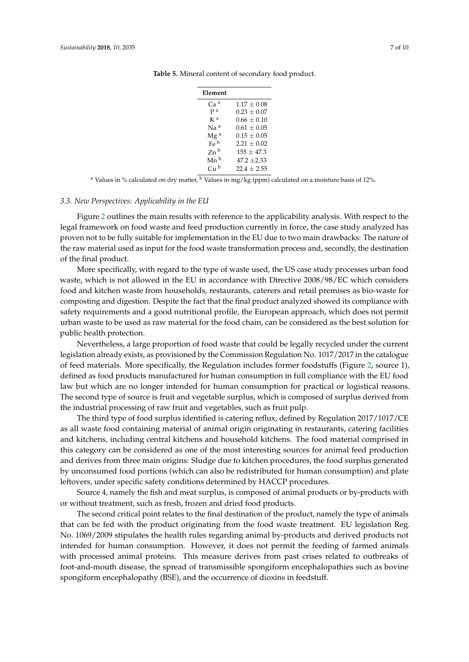| Element           |                 |
|-------------------|-----------------|
| Ca <sup>a</sup>   | $1.17 \pm 0.08$ |
| p a               | $0.23 \pm 0.07$ |
| K <sup>a</sup>    | $0.66 \pm 0.10$ |
| Na <sup>a</sup>   | $0.61 \pm 0.05$ |
| Mg <sup>a</sup>   | $0.15 \pm 0.05$ |
| Fe <sup>b</sup>   | $2.21 \pm 0.02$ |
| $Zn$ <sub>b</sub> | $155 + 47.3$    |
| Mn b              | $47.2 \pm 2.33$ |
| Cu <sup>b</sup>   | $22.4 + 2.55$   |
|                   |                 |

<span id="page-6-0"></span>**Table 5.** Mineral content of secondary food product.

<sup>a</sup> Values in % calculated on dry matter,  $\frac{b \text{ Values in mg/kg (ppm)}}{c \text{alculated on a moisture basis of 12\%}}$ .

#### *3.3. New Perspectives: Applicability in the EU*

Figure [2](#page-7-0) outlines the main results with reference to the applicability analysis. With respect to the legal framework on food waste and feed production currently in force, the case study analyzed has proven not to be fully suitable for implementation in the EU due to two main drawbacks: The nature of the raw material used as input for the food waste transformation process and, secondly, the destination of the final product.

More specifically, with regard to the type of waste used, the US case study processes urban food waste, which is not allowed in the EU in accordance with Directive 2008/98/EC which considers food and kitchen waste from households, restaurants, caterers and retail premises as bio-waste for composting and digestion. Despite the fact that the final product analyzed showed its compliance with safety requirements and a good nutritional profile, the European approach, which does not permit urban waste to be used as raw material for the food chain, can be considered as the best solution for public health protection.

Nevertheless, a large proportion of food waste that could be legally recycled under the current legislation already exists, as provisioned by the Commission Regulation No. 1017/2017 in the catalogue of feed materials. More specifically, the Regulation includes former foodstuffs (Figure [2,](#page-7-0) source 1), defined as food products manufactured for human consumption in full compliance with the EU food law but which are no longer intended for human consumption for practical or logistical reasons. The second type of source is fruit and vegetable surplus, which is composed of surplus derived from the industrial processing of raw fruit and vegetables, such as fruit pulp.

The third type of food surplus identified is catering reflux, defined by Regulation 2017/1017/CE as all waste food containing material of animal origin originating in restaurants, catering facilities and kitchens, including central kitchens and household kitchens. The food material comprised in this category can be considered as one of the most interesting sources for animal feed production and derives from three main origins: Sludge due to kitchen procedures, the food surplus generated by unconsumed food portions (which can also be redistributed for human consumption) and plate leftovers, under specific safety conditions determined by HACCP procedures.

Source 4, namely the fish and meat surplus, is composed of animal products or by-products with or without treatment, such as fresh, frozen and dried food products.

The second critical point relates to the final destination of the product, namely the type of animals that can be fed with the product originating from the food waste treatment. EU legislation Reg. No. 1069/2009 stipulates the health rules regarding animal by-products and derived products not intended for human consumption. However, it does not permit the feeding of farmed animals with processed animal proteins. This measure derives from past crises related to outbreaks of foot-and-mouth disease, the spread of transmissible spongiform encephalopathies such as bovine spongiform encephalopathy (BSE), and the occurrence of dioxins in feedstuff.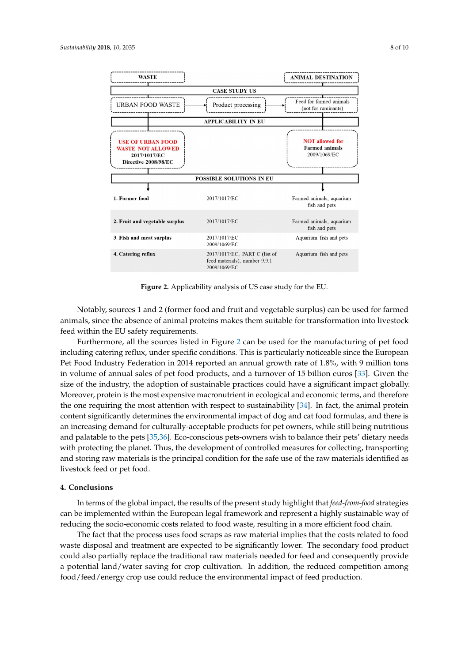<span id="page-7-0"></span>

**Figure 2.** Applicability analysis of US case study for the EU. **Figure 2.** Applicability analysis of US case study for the EU.

The second critical point relates to the final destination of the product, namely the type of Notably, sources 1 and 2 (former food and fruit and vegetable surplus) can be used for farmed animals, since the absence of animal proteins makes them suitable for transformation into livestock feed within the EU safety requirements.

Furthermore, all the sources listed in Figure 2 can be used for the manufacturing of pet food including catering reflux, under specific conditions. This is particularly noticeable since the European Pet Food Industry Federation in 2014 reported an annual growth rate of 1.8%, with 9 million tons in volume of annual sales of pet food products, and a turnover of 15 billion euros [33]. Given the size of the industry, the adoption of sustainable practices could have a significant impact globally. Moreover, protein is the most expensive macronutrient in ecological and economic terms, and therefore the one requiring the most attention with respect to sustainability [\[34\]](#page-9-17). In fact, the animal protein content significantly determines the environmental impact of dog and cat food formulas, and there is an increasing demand for culturally-acceptable products for pet owners, while still being nutritious and palatable to the pets [\[35](#page-9-18)[,36\]](#page-9-19). Eco-conscious pets-owners wish to balance their pets' dietary needs with protecting the planet. Thus, the development of controlled measures for collecting, transporting  $\frac{1}{2}$  or over  $\frac{1}{2}$  and  $\frac{1}{2}$  is the most expensive matrices of the most expensive matrices in equal and  $\frac{1}{2}$  and  $\frac{1}{2}$  and  $\frac{1}{2}$  and  $\frac{1}{2}$  and  $\frac{1}{2}$  and  $\frac{1}{2}$  and  $\frac{1}{2}$  and  $\frac{1}{$ and storing raw materials is the principal condition for the safe use of the raw materials identified as<br>In the animal is the algorithm  $proton$  content significantly determines the environmental impact  $\frac{1}{2}$ livestock feed or pet food.

#### $\Omega$  and there is an increasing demand for personally-acceptable products for personal still still still still still still still still still still still still still still still still still still still still still still st **4. Conclusions**

In terms of the global impact, the results of the present study highlight that *feed-from-food* strategies can be implemented within the European legal framework and represent a highly sustainable way of reducing the socio-economic costs related to food waste, resulting in a more efficient food chain.

The fact that the process uses food scraps as raw material implies that the costs related to food waste disposal and treatment are expected to be significantly lower. The secondary food product could also partially replace the traditional raw materials needed for feed and consequently provide a potential land/water saving for crop cultivation. In addition, the reduced competition among food/feed/energy crop use could reduce the environmental impact of feed production.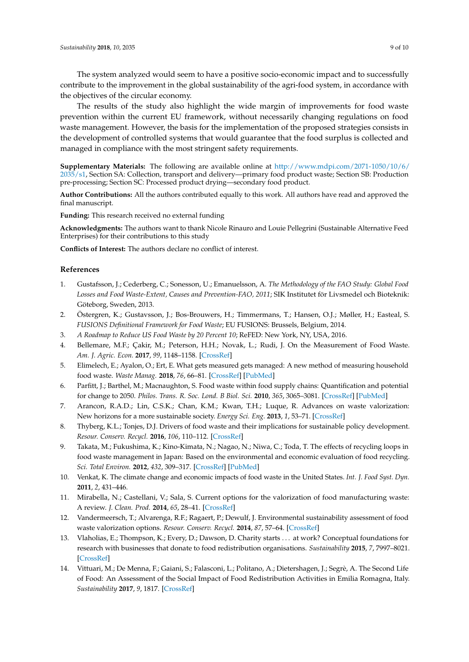The system analyzed would seem to have a positive socio-economic impact and to successfully contribute to the improvement in the global sustainability of the agri-food system, in accordance with the objectives of the circular economy.

The results of the study also highlight the wide margin of improvements for food waste prevention within the current EU framework, without necessarily changing regulations on food waste management. However, the basis for the implementation of the proposed strategies consists in the development of controlled systems that would guarantee that the food surplus is collected and managed in compliance with the most stringent safety requirements.

**Supplementary Materials:** The following are available online at [http://www.mdpi.com/2071-1050/10/6/](http://www.mdpi.com/2071-1050/10/6/2035/s1) [2035/s1,](http://www.mdpi.com/2071-1050/10/6/2035/s1) Section SA: Collection, transport and delivery—primary food product waste; Section SB: Production pre-processing; Section SC: Processed product drying—secondary food product.

**Author Contributions:** All the authors contributed equally to this work. All authors have read and approved the final manuscript.

**Funding:** This research received no external funding

**Acknowledgments:** The authors want to thank Nicole Rinauro and Louie Pellegrini (Sustainable Alternative Feed Enterprises) for their contributions to this study

**Conflicts of Interest:** The authors declare no conflict of interest.

#### **References**

- <span id="page-8-0"></span>1. Gustafsson, J.; Cederberg, C.; Sonesson, U.; Emanuelsson, A. *The Methodology of the FAO Study: Global Food Losses and Food Waste-Extent, Causes and Prevention-FAO, 2011*; SIK Institutet för Livsmedel och Bioteknik: Göteborg, Sweden, 2013.
- <span id="page-8-1"></span>2. Östergren, K.; Gustavsson, J.; Bos-Brouwers, H.; Timmermans, T.; Hansen, O.J.; Møller, H.; Easteal, S. *FUSIONS Definitional Framework for Food Waste*; EU FUSIONS: Brussels, Belgium, 2014.
- <span id="page-8-2"></span>3. *A Roadmap to Reduce US Food Waste by 20 Percent 10*; ReFED: New York, NY, USA, 2016.
- <span id="page-8-3"></span>4. Bellemare, M.F.; Çakir, M.; Peterson, H.H.; Novak, L.; Rudi, J. On the Measurement of Food Waste. *Am. J. Agric. Econ.* **2017**, *99*, 1148–1158. [\[CrossRef\]](http://dx.doi.org/10.1093/ajae/aax034)
- <span id="page-8-4"></span>5. Elimelech, E.; Ayalon, O.; Ert, E. What gets measured gets managed: A new method of measuring household food waste. *Waste Manag.* **2018**, *76*, 66–81. [\[CrossRef\]](http://dx.doi.org/10.1016/j.wasman.2018.03.031) [\[PubMed\]](http://www.ncbi.nlm.nih.gov/pubmed/29576512)
- <span id="page-8-5"></span>6. Parfitt, J.; Barthel, M.; Macnaughton, S. Food waste within food supply chains: Quantification and potential for change to 2050. *Philos. Trans. R. Soc. Lond. B Biol. Sci.* **2010**, *365*, 3065–3081. [\[CrossRef\]](http://dx.doi.org/10.1098/rstb.2010.0126) [\[PubMed\]](http://www.ncbi.nlm.nih.gov/pubmed/20713403)
- <span id="page-8-6"></span>7. Arancon, R.A.D.; Lin, C.S.K.; Chan, K.M.; Kwan, T.H.; Luque, R. Advances on waste valorization: New horizons for a more sustainable society. *Energy Sci. Eng.* **2013**, *1*, 53–71. [\[CrossRef\]](http://dx.doi.org/10.1002/ese3.9)
- 8. Thyberg, K.L.; Tonjes, D.J. Drivers of food waste and their implications for sustainable policy development. *Resour. Conserv. Recycl.* **2016**, *106*, 110–112. [\[CrossRef\]](http://dx.doi.org/10.1016/j.resconrec.2015.11.016)
- 9. Takata, M.; Fukushima, K.; Kino-Kimata, N.; Nagao, N.; Niwa, C.; Toda, T. The effects of recycling loops in food waste management in Japan: Based on the environmental and economic evaluation of food recycling. *Sci. Total Environ.* **2012**, *432*, 309–317. [\[CrossRef\]](http://dx.doi.org/10.1016/j.scitotenv.2012.05.049) [\[PubMed\]](http://www.ncbi.nlm.nih.gov/pubmed/22750176)
- 10. Venkat, K. The climate change and economic impacts of food waste in the United States. *Int. J. Food Syst. Dyn.* **2011**, *2*, 431–446.
- 11. Mirabella, N.; Castellani, V.; Sala, S. Current options for the valorization of food manufacturing waste: A review. *J. Clean. Prod.* **2014**, *65*, 28–41. [\[CrossRef\]](http://dx.doi.org/10.1016/j.jclepro.2013.10.051)
- <span id="page-8-7"></span>12. Vandermeersch, T.; Alvarenga, R.F.; Ragaert, P.; Dewulf, J. Environmental sustainability assessment of food waste valorization options. *Resour. Conserv. Recycl.* **2014**, *87*, 57–64. [\[CrossRef\]](http://dx.doi.org/10.1016/j.resconrec.2014.03.008)
- <span id="page-8-8"></span>13. Vlaholias, E.; Thompson, K.; Every, D.; Dawson, D. Charity starts . . . at work? Conceptual foundations for research with businesses that donate to food redistribution organisations. *Sustainability* **2015**, *7*, 7997–8021. [\[CrossRef\]](http://dx.doi.org/10.3390/su7067997)
- <span id="page-8-9"></span>14. Vittuari, M.; De Menna, F.; Gaiani, S.; Falasconi, L.; Politano, A.; Dietershagen, J.; Segrè, A. The Second Life of Food: An Assessment of the Social Impact of Food Redistribution Activities in Emilia Romagna, Italy. *Sustainability* **2017**, *9*, 1817. [\[CrossRef\]](http://dx.doi.org/10.3390/su9101817)